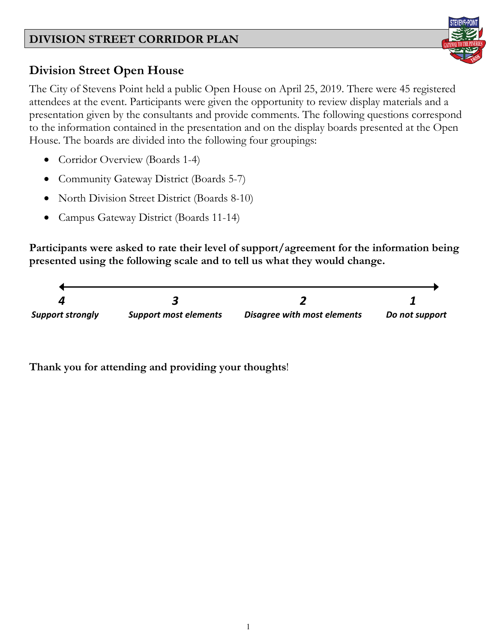

# **Division Street Open House**

The City of Stevens Point held a public Open House on April 25, 2019. There were 45 registered attendees at the event. Participants were given the opportunity to review display materials and a presentation given by the consultants and provide comments. The following questions correspond to the information contained in the presentation and on the display boards presented at the Open House. The boards are divided into the following four groupings:

- Corridor Overview (Boards 1-4)
- Community Gateway District (Boards 5-7)
- North Division Street District (Boards 8-10)
- Campus Gateway District (Boards 11-14)

**Participants were asked to rate their level of support/agreement for the information being presented using the following scale and to tell us what they would change.**



**Thank you for attending and providing your thoughts**!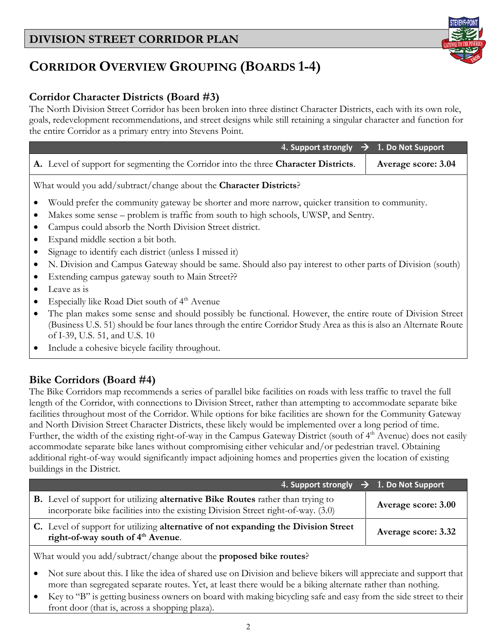# **CORRIDOR OVERVIEW GROUPING (BOARDS 1-4)**

### **Corridor Character Districts (Board #3)**

The North Division Street Corridor has been broken into three distinct Character Districts, each with its own role, goals, redevelopment recommendations, and street designs while still retaining a singular character and function for the entire Corridor as a primary entry into Stevens Point.

| 4. Support strongly $\rightarrow$                                                                                 | 1. Do Not Support   |  |  |
|-------------------------------------------------------------------------------------------------------------------|---------------------|--|--|
| A. Level of support for segmenting the Corridor into the three Character Districts.                               | Average score: 3.04 |  |  |
| What would you add/subtract/change about the <b>Character Districts</b> ?                                         |                     |  |  |
| Would prefer the community gateway be shorter and more narrow, quicker transition to community.                   |                     |  |  |
| Makes some sense – problem is traffic from south to high schools, UWSP, and Sentry.                               |                     |  |  |
| Campus could absorb the North Division Street district.                                                           |                     |  |  |
| Expand middle section a bit both.                                                                                 |                     |  |  |
| Signage to identify each district (unless I missed it)                                                            |                     |  |  |
| N. Division and Campus Gateway should be same. Should also pay interest to other parts of Division (south)        |                     |  |  |
| Extending campus gateway south to Main Street??                                                                   |                     |  |  |
| Leave as is                                                                                                       |                     |  |  |
| Especially like Road Diet south of 4 <sup>th</sup> Avenue                                                         |                     |  |  |
| The plan makes some sense and should possibly be functional. However, the entire route of Division Street         |                     |  |  |
| (Business U.S. 51) should be four lanes through the entire Corridor Study Area as this is also an Alternate Route |                     |  |  |
| of I-39, U.S. 51, and U.S. 10                                                                                     |                     |  |  |
| Include a cohesive bicycle facility throughout.                                                                   |                     |  |  |

#### **Bike Corridors (Board #4)**

The Bike Corridors map recommends a series of parallel bike facilities on roads with less traffic to travel the full length of the Corridor, with connections to Division Street, rather than attempting to accommodate separate bike facilities throughout most of the Corridor. While options for bike facilities are shown for the Community Gateway and North Division Street Character Districts, these likely would be implemented over a long period of time. Further, the width of the existing right-of-way in the Campus Gateway District (south of 4<sup>th</sup> Avenue) does not easily accommodate separate bike lanes without compromising either vehicular and/or pedestrian travel. Obtaining additional right-of-way would significantly impact adjoining homes and properties given the location of existing buildings in the District.

| 4. Support strongly $\rightarrow$ 1. Do Not Support                                                                                                                                |                     |
|------------------------------------------------------------------------------------------------------------------------------------------------------------------------------------|---------------------|
| <b>B.</b> Level of support for utilizing <b>alternative Bike Routes</b> rather than trying to<br>incorporate bike facilities into the existing Division Street right-of-way. (3.0) | Average score: 3.00 |
| C. Level of support for utilizing alternative of not expanding the Division Street<br>right-of-way south of 4 <sup>th</sup> Avenue.                                                | Average score: 3.32 |

What would you add/subtract/change about the **proposed bike routes**?

- Not sure about this. I like the idea of shared use on Division and believe bikers will appreciate and support that more than segregated separate routes. Yet, at least there would be a biking alternate rather than nothing.
- Key to "B" is getting business owners on board with making bicycling safe and easy from the side street to their front door (that is, across a shopping plaza).

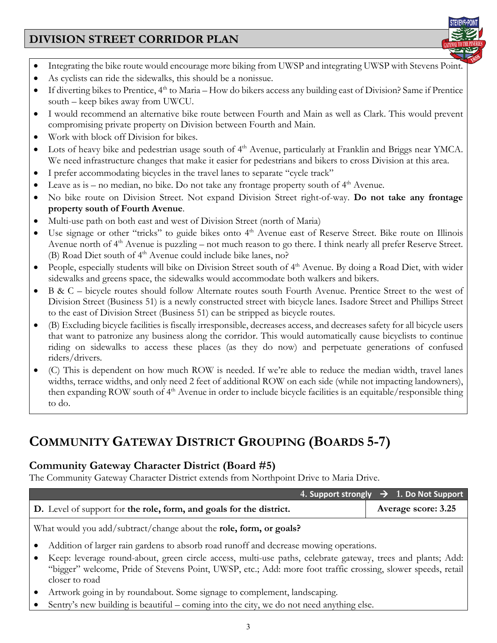

- Integrating the bike route would encourage more biking from UWSP and integrating UWSP with Stevens Point.
- As cyclists can ride the sidewalks, this should be a nonissue.
- If diverting bikes to Prentice, 4<sup>th</sup> to Maria How do bikers access any building east of Division? Same if Prentice south – keep bikes away from UWCU.
- I would recommend an alternative bike route between Fourth and Main as well as Clark. This would prevent compromising private property on Division between Fourth and Main.
- Work with block off Division for bikes.
- Lots of heavy bike and pedestrian usage south of 4<sup>th</sup> Avenue, particularly at Franklin and Briggs near YMCA. We need infrastructure changes that make it easier for pedestrians and bikers to cross Division at this area.
- I prefer accommodating bicycles in the travel lanes to separate "cycle track"
- Leave as is no median, no bike. Do not take any frontage property south of  $4<sup>th</sup>$  Avenue.
- No bike route on Division Street. Not expand Division Street right-of-way. **Do not take any frontage property south of Fourth Avenue**.
- Multi-use path on both east and west of Division Street (north of Maria)
- Use signage or other "tricks" to guide bikes onto 4<sup>th</sup> Avenue east of Reserve Street. Bike route on Illinois Avenue north of  $4<sup>th</sup>$  Avenue is puzzling – not much reason to go there. I think nearly all prefer Reserve Street. (B) Road Diet south of 4<sup>th</sup> Avenue could include bike lanes, no?
- People, especially students will bike on Division Street south of 4<sup>th</sup> Avenue. By doing a Road Diet, with wider sidewalks and greens space, the sidewalks would accommodate both walkers and bikers.
- B & C bicycle routes should follow Alternate routes south Fourth Avenue. Prentice Street to the west of Division Street (Business 51) is a newly constructed street with bicycle lanes. Isadore Street and Phillips Street to the east of Division Street (Business 51) can be stripped as bicycle routes.
- (B) Excluding bicycle facilities is fiscally irresponsible, decreases access, and decreases safety for all bicycle users that want to patronize any business along the corridor. This would automatically cause bicyclists to continue riding on sidewalks to access these places (as they do now) and perpetuate generations of confused riders/drivers.
- (C) This is dependent on how much ROW is needed. If we're able to reduce the median width, travel lanes widths, terrace widths, and only need 2 feet of additional ROW on each side (while not impacting landowners), then expanding ROW south of 4<sup>th</sup> Avenue in order to include bicycle facilities is an equitable/responsible thing to do.

# **COMMUNITY GATEWAY DISTRICT GROUPING (BOARDS 5-7)**

#### **Community Gateway Character District (Board #5)**

The Community Gateway Character District extends from Northpoint Drive to Maria Drive.

|                                                                    |                                                                                                                                |  | 4. Support strongly $\rightarrow$ 1. Do Not Support |
|--------------------------------------------------------------------|--------------------------------------------------------------------------------------------------------------------------------|--|-----------------------------------------------------|
|                                                                    | D. Level of support for the role, form, and goals for the district.                                                            |  | Average score: 3.25                                 |
| What would you add/subtract/change about the role, form, or goals? |                                                                                                                                |  |                                                     |
|                                                                    | Addition of larger rain gardens to absorb road runoff and decrease mowing operations.                                          |  |                                                     |
|                                                                    | Keep: leverage round-about, green circle access, multi-use paths, celebrate gateway, trees and plants; Add:                    |  |                                                     |
|                                                                    | "bigger" welcome, Pride of Stevens Point, UWSP, etc.; Add: more foot traffic crossing, slower speeds, retail<br>closer to road |  |                                                     |
|                                                                    | Artwork going in by roundabout. Some signage to complement, landscaping.                                                       |  |                                                     |
|                                                                    | Sentry's new building is beautiful – coming into the city, we do not need anything else.                                       |  |                                                     |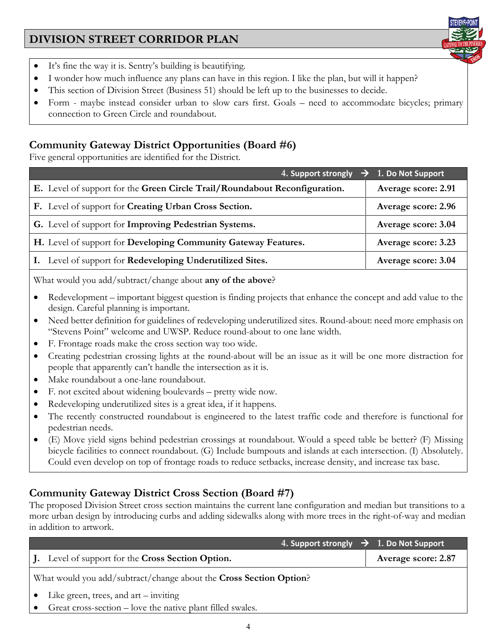

- It's fine the way it is. Sentry's building is beautifying.
- I wonder how much influence any plans can have in this region. I like the plan, but will it happen?
- This section of Division Street (Business 51) should be left up to the businesses to decide.
- Form maybe instead consider urban to slow cars first. Goals need to accommodate bicycles; primary connection to Green Circle and roundabout.

#### **Community Gateway District Opportunities (Board #6)**

Five general opportunities are identified for the District.

| 4. Support strongly                                                        | $\rightarrow$ 1. Do Not Support |
|----------------------------------------------------------------------------|---------------------------------|
| E. Level of support for the Green Circle Trail/Roundabout Reconfiguration. | Average score: 2.91             |
| F. Level of support for Creating Urban Cross Section.                      | Average score: 2.96             |
| G. Level of support for Improving Pedestrian Systems.                      | Average score: 3.04             |
| H. Level of support for Developing Community Gateway Features.             | Average score: 3.23             |
| I. Level of support for Redeveloping Underutilized Sites.                  | Average score: 3.04             |
|                                                                            |                                 |

What would you add/subtract/change about **any of the above**?

- Redevelopment important biggest question is finding projects that enhance the concept and add value to the design. Careful planning is important.
- Need better definition for guidelines of redeveloping underutilized sites. Round-about: need more emphasis on "Stevens Point" welcome and UWSP. Reduce round-about to one lane width.
- F. Frontage roads make the cross section way too wide.
- Creating pedestrian crossing lights at the round-about will be an issue as it will be one more distraction for people that apparently can't handle the intersection as it is.
- Make roundabout a one-lane roundabout.
- F. not excited about widening boulevards pretty wide now.
- Redeveloping underutilized sites is a great idea, if it happens.
- The recently constructed roundabout is engineered to the latest traffic code and therefore is functional for pedestrian needs.
- (E) Move yield signs behind pedestrian crossings at roundabout. Would a speed table be better? (F) Missing bicycle facilities to connect roundabout. (G) Include bumpouts and islands at each intersection. (I) Absolutely. Could even develop on top of frontage roads to reduce setbacks, increase density, and increase tax base.

### **Community Gateway District Cross Section (Board #7)**

The proposed Division Street cross section maintains the current lane configuration and median but transitions to a more urban design by introducing curbs and adding sidewalks along with more trees in the right-of-way and median in addition to artwork.

| $\overline{14}$ . Support strongly $\overrightarrow{)}$ 1. Do Not Support |                     |  |
|---------------------------------------------------------------------------|---------------------|--|
| J. Level of support for the Cross Section Option.                         | Average score: 2.87 |  |
| What would you add/subtract/change about the Cross Section Option?        |                     |  |
| Like green, trees, and $art -$ inviting                                   |                     |  |
| Great cross-section – love the native plant filled swales.                |                     |  |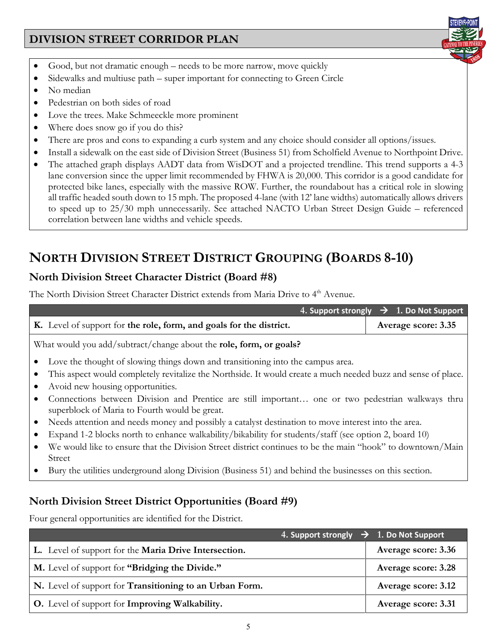- Good, but not dramatic enough needs to be more narrow, move quickly
- Sidewalks and multiuse path super important for connecting to Green Circle
- No median
- Pedestrian on both sides of road
- Love the trees. Make Schmeeckle more prominent
- Where does snow go if you do this?
- There are pros and cons to expanding a curb system and any choice should consider all options/issues.
- Install a sidewalk on the east side of Division Street (Business 51) from Scholfield Avenue to Northpoint Drive.
- The attached graph displays AADT data from WisDOT and a projected trendline. This trend supports a 4-3 lane conversion since the upper limit recommended by FHWA is 20,000. This corridor is a good candidate for protected bike lanes, especially with the massive ROW. Further, the roundabout has a critical role in slowing all traffic headed south down to 15 mph. The proposed 4-lane (with 12' lane widths) automatically allows drivers to speed up to 25/30 mph unnecessarily. See attached NACTO Urban Street Design Guide – referenced correlation between lane widths and vehicle speeds.

# **NORTH DIVISION STREET DISTRICT GROUPING (BOARDS 8-10)**

### **North Division Street Character District (Board #8)**

The North Division Street Character District extends from Maria Drive to 4<sup>th</sup> Avenue.

|                                                                                                                                                                                                                                      | 4. Support strongly $\rightarrow$ 1. Do Not Support |  |  |
|--------------------------------------------------------------------------------------------------------------------------------------------------------------------------------------------------------------------------------------|-----------------------------------------------------|--|--|
| K. Level of support for the role, form, and goals for the district.                                                                                                                                                                  | Average score: 3.35                                 |  |  |
| What would you add/subtract/change about the role, form, or goals?                                                                                                                                                                   |                                                     |  |  |
| Love the thought of slowing things down and transitioning into the campus area.<br>This aspect would completely revitalize the Northside. It would create a much needed buzz and sense of place.<br>Avoid new housing opportunities. |                                                     |  |  |
| Connections between Division and Prentice are still important one or two pedestrian walkways thru<br>superblock of Maria to Fourth would be great.                                                                                   |                                                     |  |  |
| Needs attention and needs money and possibly a catalyst destination to move interest into the area.<br>٠                                                                                                                             |                                                     |  |  |
| Expand 1-2 blocks north to enhance walkability/bikability for students/staff (see option 2, board 10)                                                                                                                                |                                                     |  |  |
| We would like to ensure that the Division Street district continues to be the main "hook" to downtown/Main<br>٠<br>Street                                                                                                            |                                                     |  |  |
| Bury the utilities underground along Division (Business 51) and behind the businesses on this section.                                                                                                                               |                                                     |  |  |
| North Division Street District Opportunities (Board #9)                                                                                                                                                                              |                                                     |  |  |
| Four general opportunities are identified for the District.                                                                                                                                                                          |                                                     |  |  |

|                                                         | 4. Support strongly $\rightarrow$ 1. Do Not Support |
|---------------------------------------------------------|-----------------------------------------------------|
| L. Level of support for the Maria Drive Intersection.   | Average score: 3.36                                 |
| M. Level of support for "Bridging the Divide."          | Average score: 3.28                                 |
| N. Level of support for Transitioning to an Urban Form. | Average score: 3.12                                 |
| <b>O.</b> Level of support for Improving Walkability.   | Average score: 3.31                                 |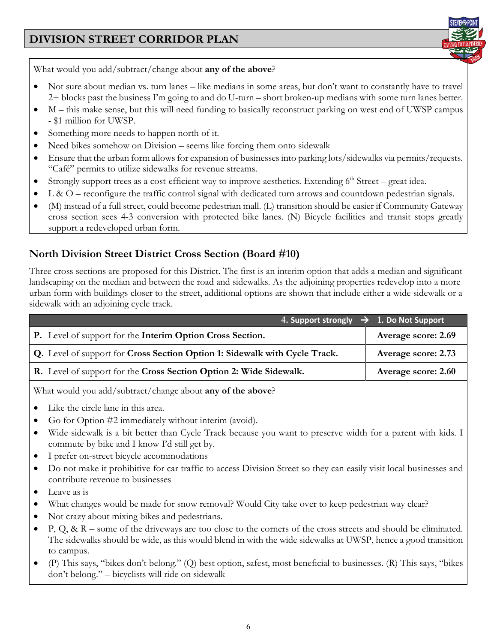

What would you add/subtract/change about **any of the above**?

- Not sure about median vs. turn lanes like medians in some areas, but don't want to constantly have to travel 2+ blocks past the business I'm going to and do U-turn – short broken-up medians with some turn lanes better.
- M this make sense, but this will need funding to basically reconstruct parking on west end of UWSP campus - \$1 million for UWSP.
- Something more needs to happen north of it.
- Need bikes somehow on Division seems like forcing them onto sidewalk
- Ensure that the urban form allows for expansion of businesses into parking lots/sidewalks via permits/requests. "Café" permits to utilize sidewalks for revenue streams.
- Strongly support trees as a cost-efficient way to improve aesthetics. Extending  $6<sup>th</sup> Street great idea.$
- L & O reconfigure the traffic control signal with dedicated turn arrows and countdown pedestrian signals.
- (M) instead of a full street, could become pedestrian mall. (L) transition should be easier if Community Gateway cross section sees 4-3 conversion with protected bike lanes. (N) Bicycle facilities and transit stops greatly support a redeveloped urban form.

### **North Division Street District Cross Section (Board #10)**

Three cross sections are proposed for this District. The first is an interim option that adds a median and significant landscaping on the median and between the road and sidewalks. As the adjoining properties redevelop into a more urban form with buildings closer to the street, additional options are shown that include either a wide sidewalk or a sidewalk with an adjoining cycle track.

| 4. Support strongly $\rightarrow$ 1. Do Not Support                        |                     |
|----------------------------------------------------------------------------|---------------------|
| P. Level of support for the Interim Option Cross Section.                  | Average score: 2.69 |
| Q. Level of support for Cross Section Option 1: Sidewalk with Cycle Track. | Average score: 2.73 |
| R. Level of support for the Cross Section Option 2: Wide Sidewalk.         | Average score: 2.60 |

What would you add/subtract/change about **any of the above**?

- Like the circle lane in this area.
- Go for Option #2 immediately without interim (avoid).
- Wide sidewalk is a bit better than Cycle Track because you want to preserve width for a parent with kids. I commute by bike and I know I'd still get by.
- I prefer on-street bicycle accommodations
- Do not make it prohibitive for car traffic to access Division Street so they can easily visit local businesses and contribute revenue to businesses
- Leave as is
- What changes would be made for snow removal? Would City take over to keep pedestrian way clear?
- Not crazy about mixing bikes and pedestrians.
- P, Q, & R some of the driveways are too close to the corners of the cross streets and should be eliminated. The sidewalks should be wide, as this would blend in with the wide sidewalks at UWSP, hence a good transition to campus.
- (P) This says, "bikes don't belong." (Q) best option, safest, most beneficial to businesses. (R) This says, "bikes don't belong." – bicyclists will ride on sidewalk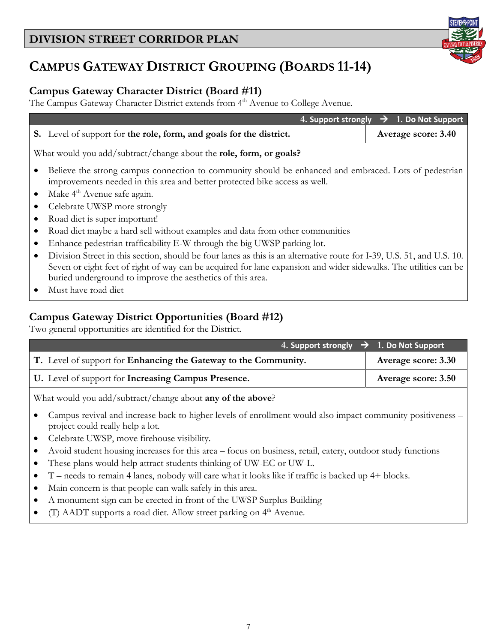# **CAMPUS GATEWAY DISTRICT GROUPING (BOARDS 11-14)**

### **Campus Gateway Character District (Board #11)**

The Campus Gateway Character District extends from 4<sup>th</sup> Avenue to College Avenue.

|                                                                                                                                                                                                                                                                                                         | 4. Support strongly $\rightarrow$ 1. Do Not Support |  |  |
|---------------------------------------------------------------------------------------------------------------------------------------------------------------------------------------------------------------------------------------------------------------------------------------------------------|-----------------------------------------------------|--|--|
| S. Level of support for the role, form, and goals for the district.                                                                                                                                                                                                                                     | Average score: 3.40                                 |  |  |
| What would you add/subtract/change about the role, form, or goals?                                                                                                                                                                                                                                      |                                                     |  |  |
| Believe the strong campus connection to community should be enhanced and embraced. Lots of pedestrian<br>improvements needed in this area and better protected bike access as well.                                                                                                                     |                                                     |  |  |
| Make 4 <sup>th</sup> Avenue safe again.                                                                                                                                                                                                                                                                 |                                                     |  |  |
| Celebrate UWSP more strongly                                                                                                                                                                                                                                                                            |                                                     |  |  |
| Road diet is super important!                                                                                                                                                                                                                                                                           |                                                     |  |  |
| Road diet maybe a hard sell without examples and data from other communities                                                                                                                                                                                                                            |                                                     |  |  |
| Enhance pedestrian trafficability E-W through the big UWSP parking lot.                                                                                                                                                                                                                                 |                                                     |  |  |
| Division Street in this section, should be four lanes as this is an alternative route for I-39, U.S. 51, and U.S. 10.<br>Seven or eight feet of right of way can be acquired for lane expansion and wider sidewalks. The utilities can be<br>buried underground to improve the aesthetics of this area. |                                                     |  |  |

• Must have road diet

### **Campus Gateway District Opportunities (Board #12)**

Two general opportunities are identified for the District.

| 4. Support strongly $\rightarrow$ 1. Do Not Support             |                            |
|-----------------------------------------------------------------|----------------------------|
| T. Level of support for Enhancing the Gateway to the Community. | <b>Average score: 3.30</b> |
| U. Level of support for Increasing Campus Presence.             | <b>Average score: 3.50</b> |

What would you add/subtract/change about **any of the above**?

- Campus revival and increase back to higher levels of enrollment would also impact community positiveness project could really help a lot.
- Celebrate UWSP, move firehouse visibility.
- Avoid student housing increases for this area focus on business, retail, eatery, outdoor study functions
- These plans would help attract students thinking of UW-EC or UW-L.
- T needs to remain 4 lanes, nobody will care what it looks like if traffic is backed up 4+ blocks.
- Main concern is that people can walk safely in this area.
- A monument sign can be erected in front of the UWSP Surplus Building
- $(T)$  AADT supports a road diet. Allow street parking on  $4<sup>th</sup>$  Avenue.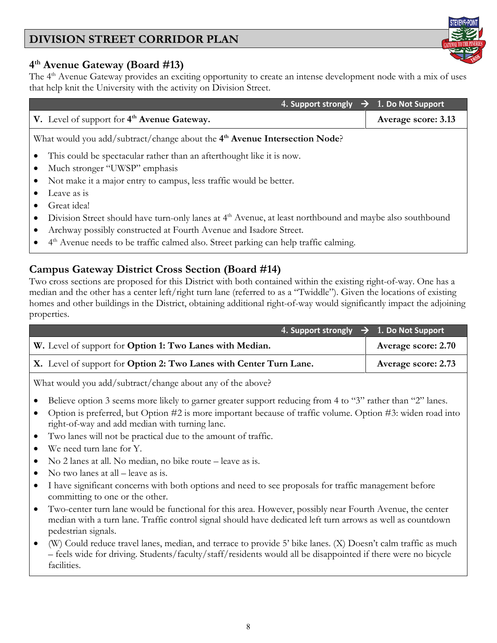#### 8

# **DIVISION STREET CORRIDOR PLAN**

#### **4th Avenue Gateway (Board #13)**

The 4<sup>th</sup> Avenue Gateway provides an exciting opportunity to create an intense development node with a mix of uses that help knit the University with the activity on Division Street.

|                                                                                                                      | 4. Support strongly $\rightarrow$ 1. Do Not Support |  |  |
|----------------------------------------------------------------------------------------------------------------------|-----------------------------------------------------|--|--|
| V. Level of support for 4 <sup>th</sup> Avenue Gateway.                                                              | Average score: 3.13                                 |  |  |
| What would you add/subtract/change about the $4th$ Avenue Intersection Node?                                         |                                                     |  |  |
| This could be spectacular rather than an afterthought like it is now.                                                |                                                     |  |  |
| Much stronger "UWSP" emphasis                                                                                        |                                                     |  |  |
| Not make it a major entry to campus, less traffic would be better.                                                   |                                                     |  |  |
| Leave as is                                                                                                          |                                                     |  |  |
| Great idea!                                                                                                          |                                                     |  |  |
| Division Street should have turn-only lanes at 4 <sup>th</sup> Avenue, at least northbound and maybe also southbound |                                                     |  |  |
| Archway possibly constructed at Fourth Avenue and Isadore Street.                                                    |                                                     |  |  |
| 4 <sup>th</sup> Avenue needs to be traffic calmed also. Street parking can help traffic calming.                     |                                                     |  |  |

#### **Campus Gateway District Cross Section (Board #14)**

Two cross sections are proposed for this District with both contained within the existing right-of-way. One has a median and the other has a center left/right turn lane (referred to as a "Twiddle"). Given the locations of existing homes and other buildings in the District, obtaining additional right-of-way would significantly impact the adjoining properties.

| 4. Support strongly $\rightarrow$ 1. Do Not Support                |                            |
|--------------------------------------------------------------------|----------------------------|
| W. Level of support for Option 1: Two Lanes with Median.           | <b>Average score: 2.70</b> |
| X. Level of support for Option 2: Two Lanes with Center Turn Lane. | <b>Average score: 2.73</b> |

What would you add/subtract/change about any of the above?

- Believe option 3 seems more likely to garner greater support reducing from 4 to "3" rather than "2" lanes.
- Option is preferred, but Option #2 is more important because of traffic volume. Option #3: widen road into right-of-way and add median with turning lane.
- Two lanes will not be practical due to the amount of traffic.
- We need turn lane for Y.
- No 2 lanes at all. No median, no bike route leave as is.
- No two lanes at all leave as is.
- I have significant concerns with both options and need to see proposals for traffic management before committing to one or the other.
- Two-center turn lane would be functional for this area. However, possibly near Fourth Avenue, the center median with a turn lane. Traffic control signal should have dedicated left turn arrows as well as countdown pedestrian signals.
- (W) Could reduce travel lanes, median, and terrace to provide 5' bike lanes. (X) Doesn't calm traffic as much – feels wide for driving. Students/faculty/staff/residents would all be disappointed if there were no bicycle facilities.

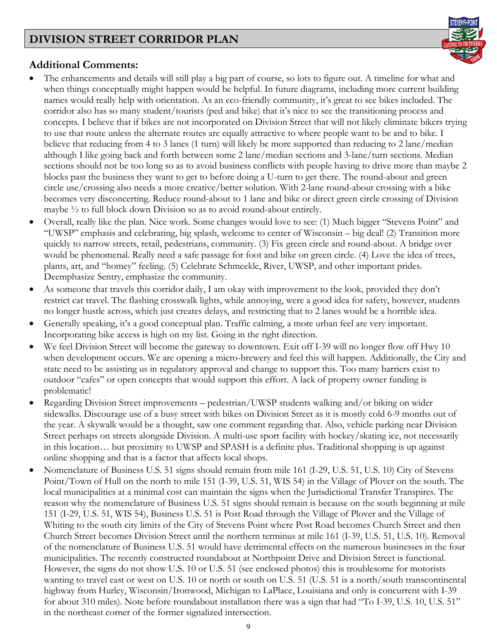

#### **Additional Comments:**

- The enhancements and details will still play a big part of course, so lots to figure out. A timeline for what and when things conceptually might happen would be helpful. In future diagrams, including more current building names would really help with orientation. As an eco-friendly community, it's great to see bikes included. The corridor also has so many student/tourists (ped and bike) that it's nice to see the transitioning process and concepts. I believe that if bikes are not incorporated on Division Street that will not likely eliminate bikers trying to use that route unless the alternate routes are equally attractive to where people want to be and to bike. I believe that reducing from 4 to 3 lanes (1 turn) will likely be more supported than reducing to 2 lane/median although I like going back and forth between some 2 lane/median sections and 3-lane/turn sections. Median sections should not be too long so as to avoid business conflicts with people having to drive more than maybe 2 blocks past the business they want to get to before doing a U-turn to get there. The round-about and green circle use/crossing also needs a more creative/better solution. With 2-lane round-about crossing with a bike becomes very disconcerting. Reduce round-about to 1 lane and bike or direct green circle crossing of Division maybe ½ to full block down Division so as to avoid round-about entirely.
- Overall, really like the plan. Nice work. Some changes would love to see: (1) Much bigger "Stevens Point" and "UWSP" emphasis and celebrating, big splash, welcome to center of Wisconsin – big deal! (2) Transition more quickly to narrow streets, retail, pedestrians, community. (3) Fix green circle and round-about. A bridge over would be phenomenal. Really need a safe passage for foot and bike on green circle. (4) Love the idea of trees, plants, art, and "homey" feeling. (5) Celebrate Schmeekle, River, UWSP, and other important prides. Deemphasize Sentry, emphasize the community.
- As someone that travels this corridor daily, I am okay with improvement to the look, provided they don't restrict car travel. The flashing crosswalk lights, while annoying, were a good idea for safety, however, students no longer hustle across, which just creates delays, and restricting that to 2 lanes would be a horrible idea.
- Generally speaking, it's a good conceptual plan. Traffic calming, a more urban feel are very important. Incorporating bike access is high on my list. Going in the right direction.
- We feel Division Street will become the gateway to downtown. Exit off I-39 will no longer flow off Hwy 10 when development occurs. We are opening a micro-brewery and feel this will happen. Additionally, the City and state need to be assisting us in regulatory approval and change to support this. Too many barriers exist to outdoor "cafes" or open concepts that would support this effort. A lack of property owner funding is problematic!
- Regarding Division Street improvements pedestrian/UWSP students walking and/or biking on wider sidewalks. Discourage use of a busy street with bikes on Division Street as it is mostly cold 6-9 months out of the year. A skywalk would be a thought, saw one comment regarding that. Also, vehicle parking near Division Street perhaps on streets alongside Division. A multi-use sport facility with hockey/skating ice, not necessarily in this location… but proximity to UWSP and SPASH is a definite plus. Traditional shopping is up against online shopping and that is a factor that affects local shops.
- Nomenclature of Business U.S. 51 signs should remain from mile 161 (I-29, U.S. 51, U.S. 10) City of Stevens Point/Town of Hull on the north to mile 151 (I-39, U.S. 51, WIS 54) in the Village of Plover on the south. The local municipalities at a minimal cost can maintain the signs when the Jurisdictional Transfer Transpires. The reason why the nomenclature of Business U.S. 51 signs should remain is because on the south beginning at mile 151 (I-29, U.S. 51, WIS 54), Business U.S. 51 is Post Road through the Village of Plover and the Village of Whiting to the south city limits of the City of Stevens Point where Post Road becomes Church Street and then Church Street becomes Division Street until the northern terminus at mile 161 (I-39, U.S. 51, U.S. 10). Removal of the nomenclature of Business U.S. 51 would have detrimental effects on the numerous businesses in the four municipalities. The recently constructed roundabout at Northpoint Drive and Division Street is functional. However, the signs do not show U.S. 10 or U.S. 51 (see enclosed photos) this is troublesome for motorists wanting to travel east or west on U.S. 10 or north or south on U.S. 51 (U.S. 51 is a north/south transcontinental highway from Hurley, Wisconsin/Ironwood, Michigan to LaPlace, Louisiana and only is concurrent with I-39 for about 310 miles). Note before roundabout installation there was a sign that had "To I-39, U.S. 10, U.S. 51" in the northeast corner of the former signalized intersection.